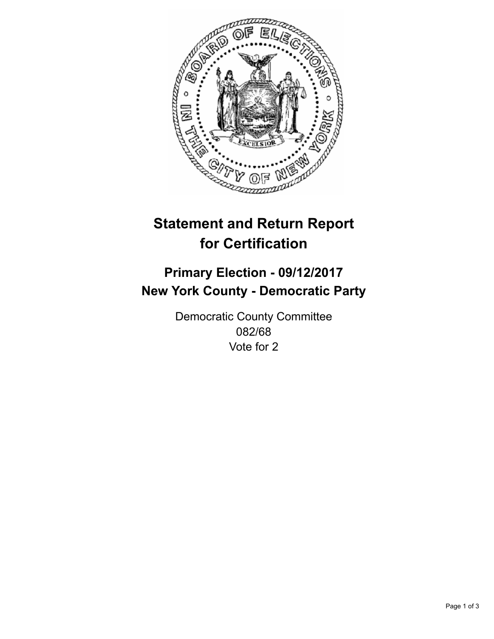

## **Statement and Return Report for Certification**

## **Primary Election - 09/12/2017 New York County - Democratic Party**

Democratic County Committee 082/68 Vote for 2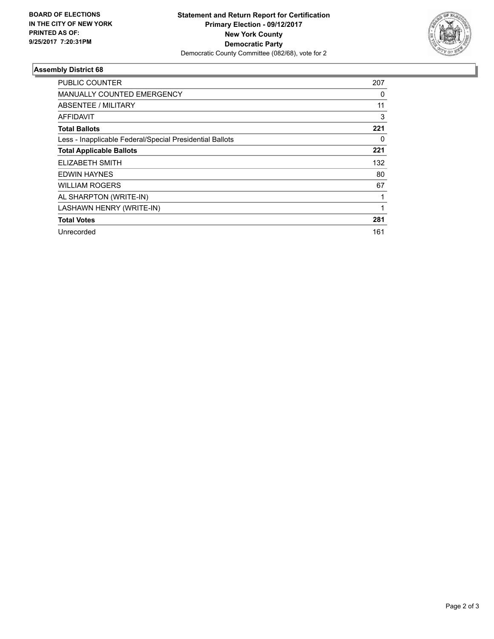

## **Assembly District 68**

| <b>PUBLIC COUNTER</b>                                    | 207 |
|----------------------------------------------------------|-----|
| MANUALLY COUNTED EMERGENCY                               | 0   |
| ABSENTEE / MILITARY                                      | 11  |
| <b>AFFIDAVIT</b>                                         | 3   |
| <b>Total Ballots</b>                                     | 221 |
| Less - Inapplicable Federal/Special Presidential Ballots | 0   |
| <b>Total Applicable Ballots</b>                          | 221 |
| <b>ELIZABETH SMITH</b>                                   | 132 |
| <b>EDWIN HAYNES</b>                                      | 80  |
| <b>WILLIAM ROGERS</b>                                    | 67  |
| AL SHARPTON (WRITE-IN)                                   |     |
| LASHAWN HENRY (WRITE-IN)                                 |     |
| <b>Total Votes</b>                                       | 281 |
| Unrecorded                                               | 161 |